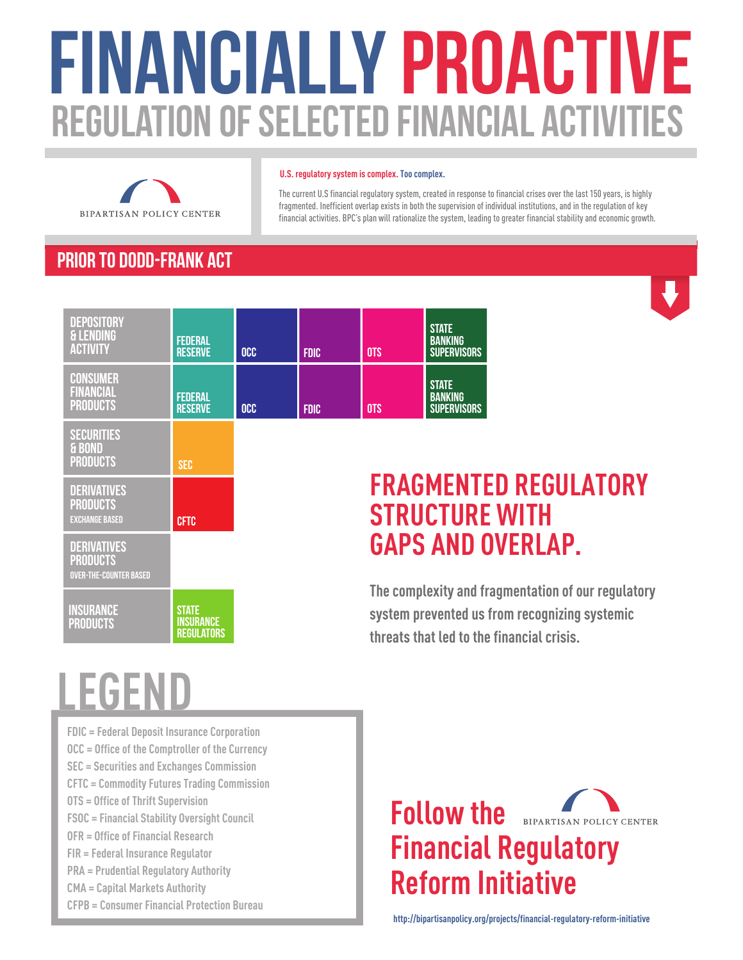# FINANCIALLY PROACTIVE **REGULATION OF SELECTED FINANCIAL ACTIVI**



### **U.S. regulatory system is complex. Too complex.**

The current U.S financial regulatory system, created in response to financial crises over the last 150 years, is highly fragmented. Inefficient overlap exists in both the supervision of individual institutions, and in the regulation of key financial activities. BPC's plan will rationalize the system, leading to greater financial stability and economic growth.

### Prior to Dodd-Frank Act



| <b>SECURITIES</b><br>& BOND<br><b>PRODUCTS</b>                         | SEC                                     |
|------------------------------------------------------------------------|-----------------------------------------|
| <b>DERIVATIVES</b><br><b>PRODUCTS</b><br><b>EXCHANGE BASED</b>         | <b>CFTC</b>                             |
| <b>DERIVATIVES</b><br><b>PRODUCTS</b><br><b>OVER-THE-COUNTER BASED</b> |                                         |
| INSURANCE<br><b>PRODUCTS</b>                                           | STATE<br><b>INSURANCE</b><br>Regulators |

### **FRAGMENTED REGULATORY STRUCTURE WITH GAPS AND OVERLAP.**

**The complexity and fragmentation of our regulatory system prevented us from recognizing systemic threats that led to the financial crisis.**

## **LEGEND**

**FDIC = Federal Deposit Insurance Corporation OCC = Office of the Comptroller of the Currency SEC = Securities and Exchanges Commission CFTC = Commodity Futures Trading Commission OTS = Office of Thrift Supervision FSOC = Financial Stability Oversight Council OFR = Office of Financial Research FIR = Federal Insurance Regulator PRA = Prudential Regulatory Authority CMA = Capital Markets Authority CFPB = Consumer Financial Protection Bureau**



**http://bipartisanpolicy.org/projects/financial-regulatory-reform-initiative**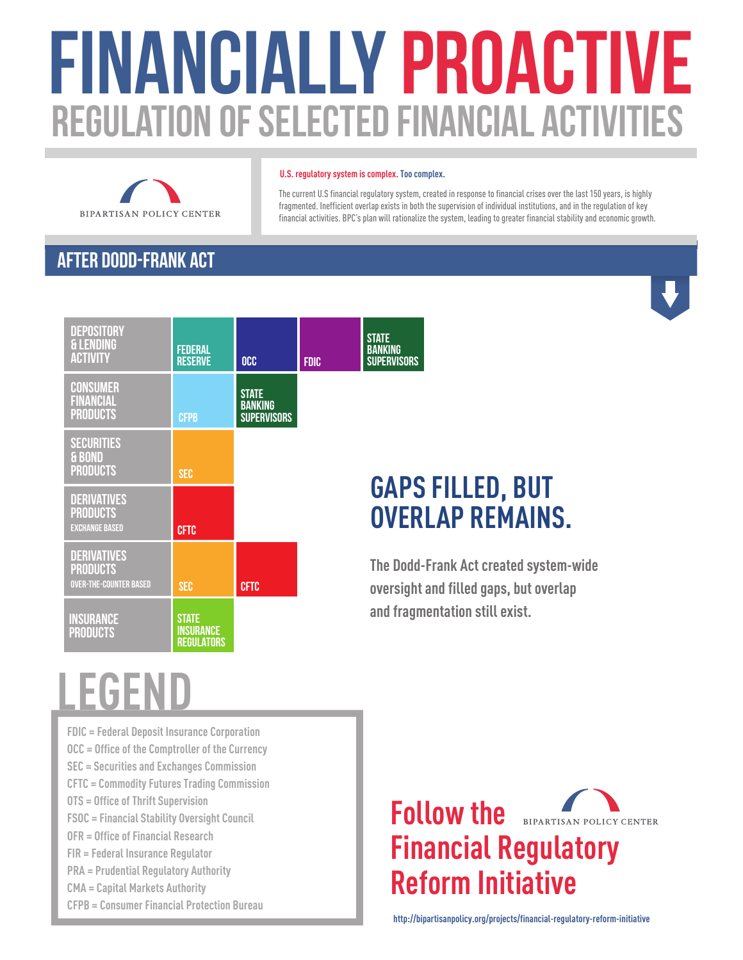# FINANCIALLY PROACTIVE REGULATION OF SELECTED FINANCIAL ACTIVI



### **U.S. regulatory system is complex. Too complex.**

The current U.S financial regulatory system, created in response to financial crises over the last 150 years, is highly fragmented. Inefficient overlap exists in both the supervision of individual institutions, and in the regulation of key financial activities. BPC's plan will rationalize the system, leading to greater financial stability and economic growth.

### AFTER Dodd-Frank Act



### **GAPS FILLED, BUT OVERLAP REMAINS.**

**The Dodd-Frank Act created system-wide oversight and filled gaps, but overlap and fragmentation still exist.**

## **LEGEND**

**FDIC = Federal Deposit Insurance Corporation OCC = Office of the Comptroller of the Currency SEC = Securities and Exchanges Commission CFTC = Commodity Futures Trading Commission OTS = Office of Thrift Supervision FSOC = Financial Stability Oversight Council OFR = Office of Financial Research FIR = Federal Insurance Regulator PRA = Prudential Regulatory Authority CMA = Capital Markets Authority CFPB = Consumer Financial Protection Bureau**



**http://bipartisanpolicy.org/projects/financial-regulatory-reform-initiative**